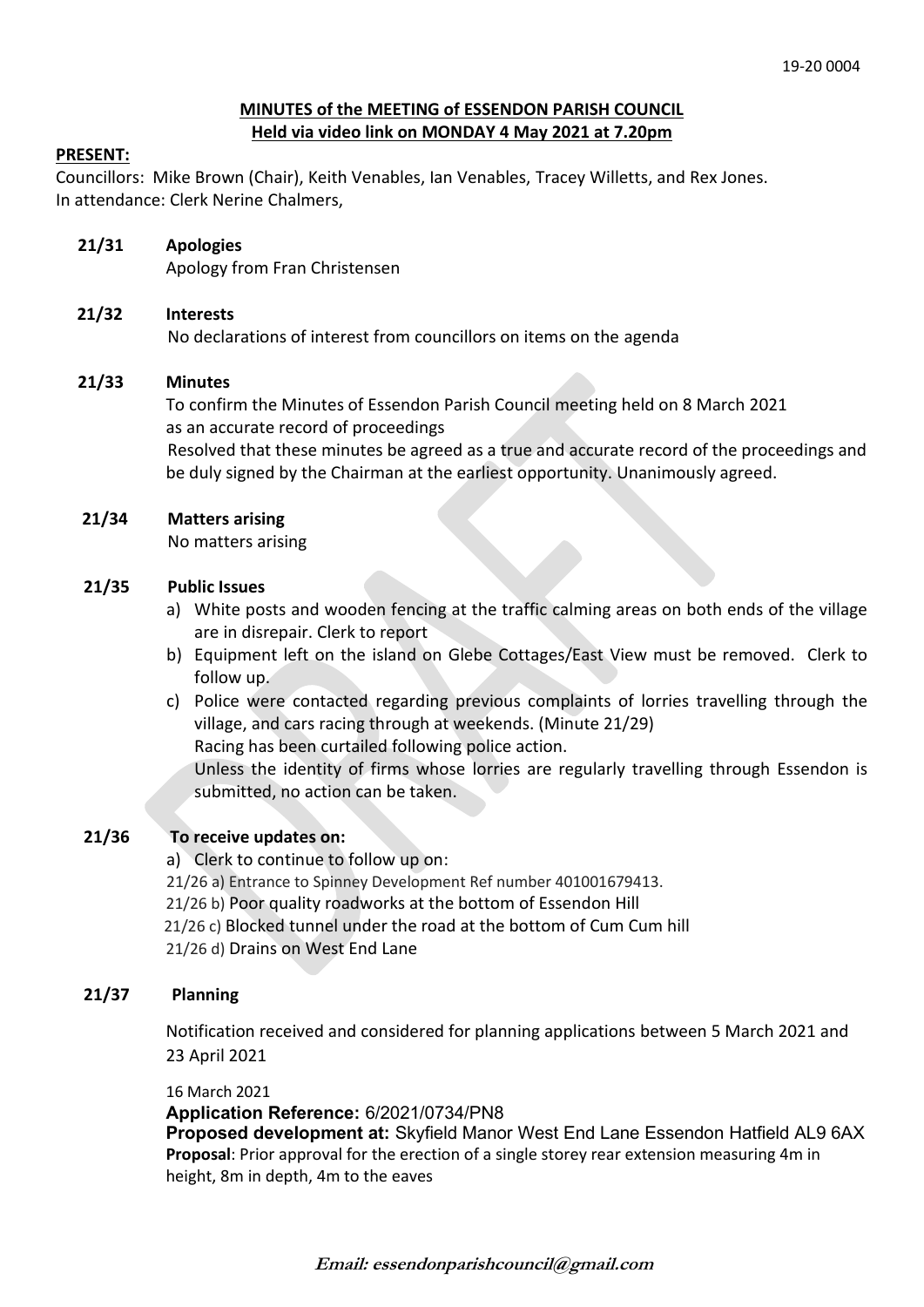## **MINUTES of the MEETING of ESSENDON PARISH COUNCIL Held via video link on MONDAY 4 May 2021 at 7.20pm**

### **PRESENT:**

Councillors: Mike Brown (Chair), Keith Venables, Ian Venables, Tracey Willetts, and Rex Jones. In attendance: Clerk Nerine Chalmers,

**21/31 Apologies** 

Apology from Fran Christensen

## **21/32 Interests**

No declarations of interest from councillors on items on the agenda

## **21/33 Minutes**

 To confirm the Minutes of Essendon Parish Council meeting held on 8 March 2021 as an accurate record of proceedings

Resolved that these minutes be agreed as a true and accurate record of the proceedings and be duly signed by the Chairman at the earliest opportunity. Unanimously agreed.

## **21/34 Matters arising**

No matters arising

### **21/35 Public Issues**

- a) White posts and wooden fencing at the traffic calming areas on both ends of the village are in disrepair. Clerk to report
- b) Equipment left on the island on Glebe Cottages/East View must be removed. Clerk to follow up.
- c) Police were contacted regarding previous complaints of lorries travelling through the village, and cars racing through at weekends. (Minute 21/29)

Racing has been curtailed following police action.

Unless the identity of firms whose lorries are regularly travelling through Essendon is submitted, no action can be taken.

## **21/36 To receive updates on:**

a) Clerk to continue to follow up on:

21/26 a) Entrance to Spinney Development Ref number 401001679413.

21/26 b) Poor quality roadworks at the bottom of Essendon Hill

21/26 c) Blocked tunnel under the road at the bottom of Cum Cum hill

21/26 d) Drains on West End Lane

## **21/37 Planning**

Notification received and considered for planning applications between 5 March 2021 and 23 April 2021

#### 16 March 2021

**Application Reference:** 6/2021/0734/PN8

**Proposed development at:** Skyfield Manor West End Lane Essendon Hatfield AL9 6AX **Proposal**: Prior approval for the erection of a single storey rear extension measuring 4m in height, 8m in depth, 4m to the eaves

**Email: essendonparishcouncil@gmail.com**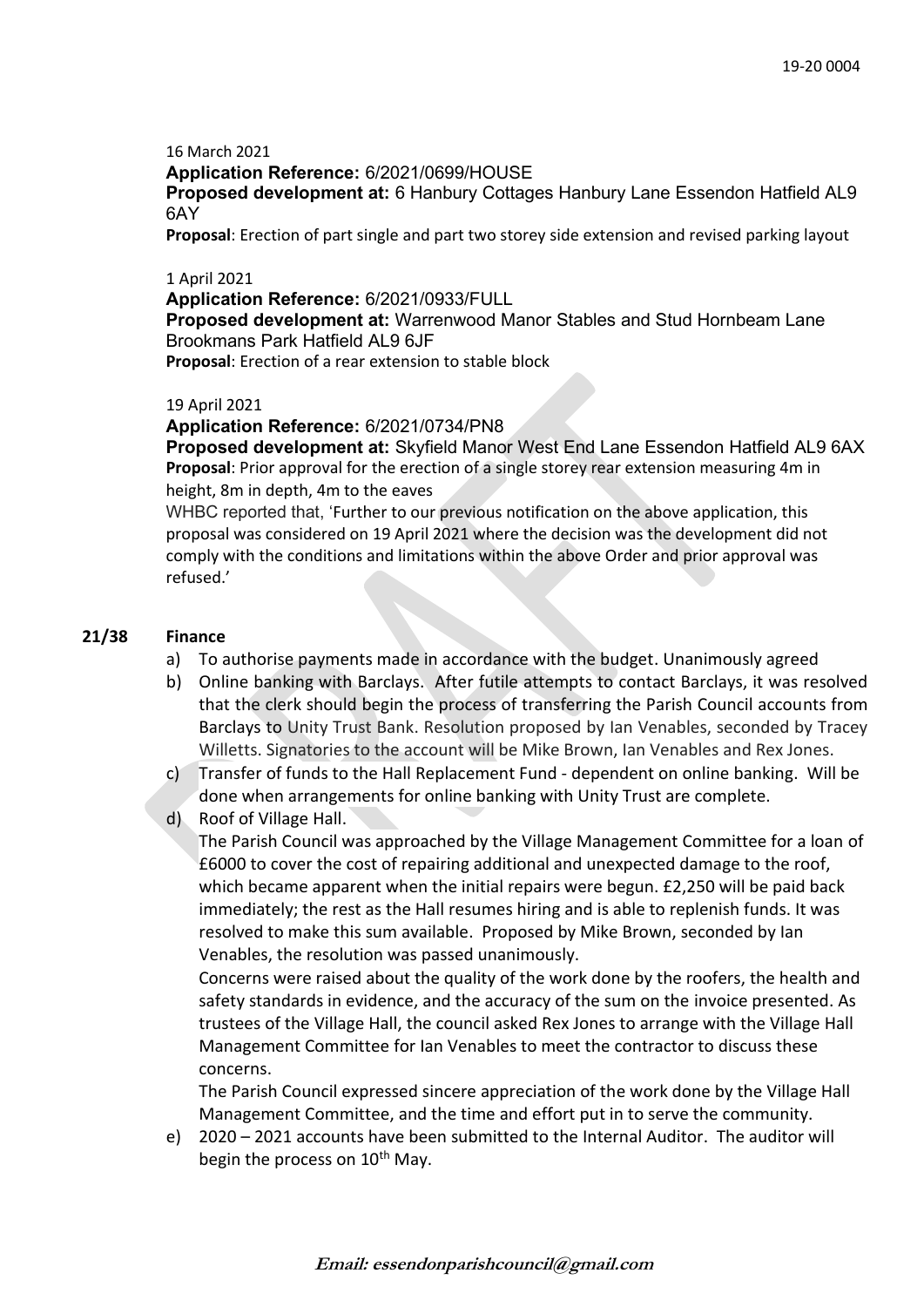#### 16 March 2021

**Application Reference:** 6/2021/0699/HOUSE

**Proposed development at:** 6 Hanbury Cottages Hanbury Lane Essendon Hatfield AL9 6AY

**Proposal**: Erection of part single and part two storey side extension and revised parking layout

### 1 April 2021

**Application Reference:** 6/2021/0933/FULL

**Proposed development at:** Warrenwood Manor Stables and Stud Hornbeam Lane Brookmans Park Hatfield AL9 6JF

**Proposal**: Erection of a rear extension to stable block

### 19 April 2021

## **Application Reference:** 6/2021/0734/PN8

**Proposed development at:** Skyfield Manor West End Lane Essendon Hatfield AL9 6AX **Proposal**: Prior approval for the erection of a single storey rear extension measuring 4m in height, 8m in depth, 4m to the eaves

WHBC reported that, 'Further to our previous notification on the above application, this proposal was considered on 19 April 2021 where the decision was the development did not comply with the conditions and limitations within the above Order and prior approval was refused.'

## **21/38 Finance**

- a) To authorise payments made in accordance with the budget. Unanimously agreed
- b) Online banking with Barclays. After futile attempts to contact Barclays, it was resolved that the clerk should begin the process of transferring the Parish Council accounts from Barclays to Unity Trust Bank. Resolution proposed by Ian Venables, seconded by Tracey Willetts. Signatories to the account will be Mike Brown, Ian Venables and Rex Jones.
- c) Transfer of funds to the Hall Replacement Fund dependent on online banking. Will be done when arrangements for online banking with Unity Trust are complete.
- d) Roof of Village Hall.

The Parish Council was approached by the Village Management Committee for a loan of £6000 to cover the cost of repairing additional and unexpected damage to the roof, which became apparent when the initial repairs were begun. £2,250 will be paid back immediately; the rest as the Hall resumes hiring and is able to replenish funds. It was resolved to make this sum available. Proposed by Mike Brown, seconded by Ian Venables, the resolution was passed unanimously.

Concerns were raised about the quality of the work done by the roofers, the health and safety standards in evidence, and the accuracy of the sum on the invoice presented. As trustees of the Village Hall, the council asked Rex Jones to arrange with the Village Hall Management Committee for Ian Venables to meet the contractor to discuss these concerns.

The Parish Council expressed sincere appreciation of the work done by the Village Hall Management Committee, and the time and effort put in to serve the community.

e) 2020 – 2021 accounts have been submitted to the Internal Auditor. The auditor will begin the process on 10<sup>th</sup> May.